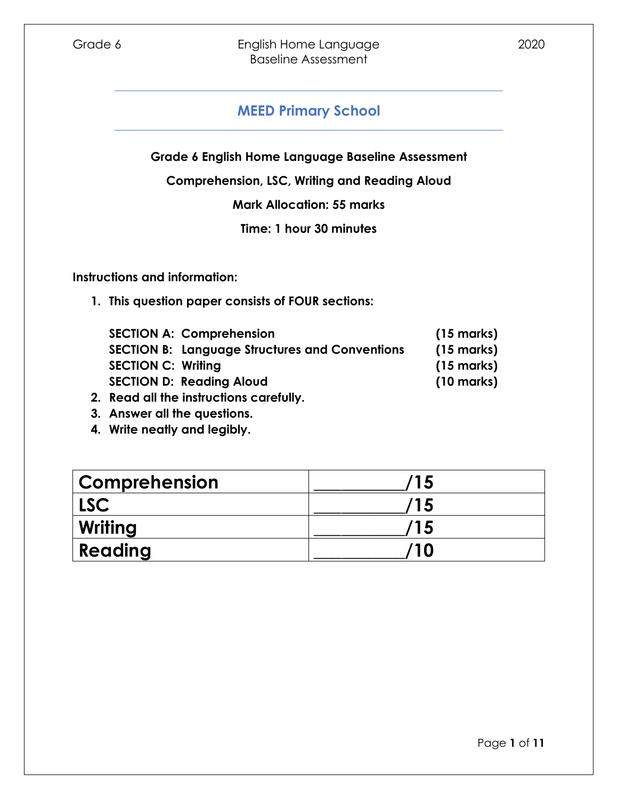**Grade 6 English Home Language Baseline Assessment**

**Comprehension, LSC, Writing and Reading Aloud**

**Mark Allocation: 55 marks**

**Time: 1 hour 30 minutes**

**Instructions and information:**

**1. This question paper consists of FOUR sections:**

| <b>SECTION A: Comprehension</b>                       | $(15 \text{ marks})$ |
|-------------------------------------------------------|----------------------|
| <b>SECTION B: Language Structures and Conventions</b> | $(15 \text{ marks})$ |
| <b>SECTION C: Writing</b>                             | $(15 \text{ marks})$ |
| <b>SECTION D: Reading Aloud</b>                       | $(10 \text{ marks})$ |
| Dead all the factorialized capafully                  |                      |

- **2. Read all the instructions carefully.**
- **3. Answer all the questions.**
- **4. Write neatly and legibly.**

| <b>Comprehension</b> | '15 |
|----------------------|-----|
| LSC                  | '15 |
| Writing              | ′15 |
| Reading              | 10  |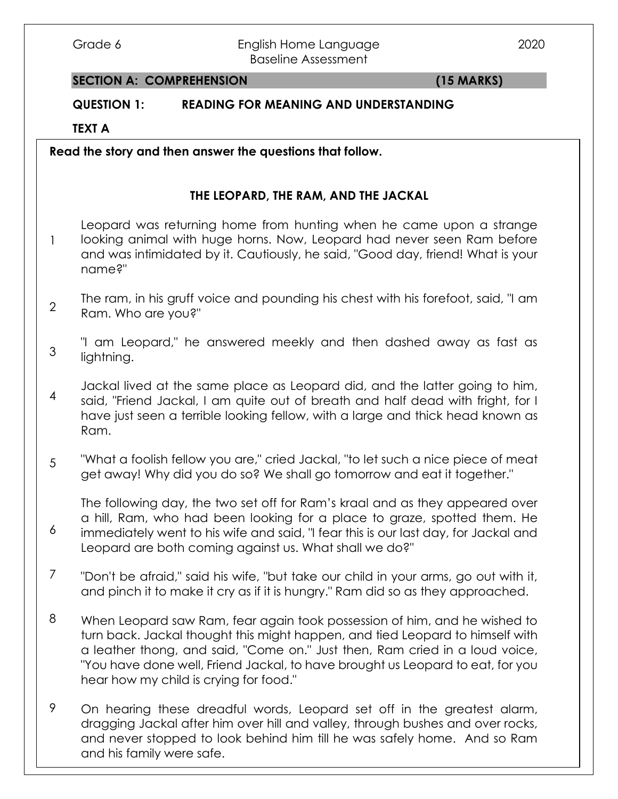#### Grade 6 **English Home Language** 2020 Baseline Assessment

### **SECTION A: COMPREHENSION (15 MARKS)**

# **QUESTION 1: READING FOR MEANING AND UNDERSTANDING**

**TEXT A**

**Read the story and then answer the questions that follow.**

## **THE LEOPARD, THE RAM, AND THE JACKAL**

1 Leopard was returning home from hunting when he came upon a strange looking animal with huge horns. Now, Leopard had never seen Ram before and was intimidated by it. Cautiously, he said, "Good day, friend! What is your name?"

2 The ram, in his gruff voice and pounding his chest with his forefoot, said, "I am Ram. Who are you?"

3 "I am Leopard," he answered meekly and then dashed away as fast as lightning.

4 Jackal lived at the same place as Leopard did, and the latter going to him, said, "Friend Jackal, I am quite out of breath and half dead with fright, for I have just seen a terrible looking fellow, with a large and thick head known as Ram.

5 "What a foolish fellow you are," cried Jackal, "to let such a nice piece of meat get away! Why did you do so? We shall go tomorrow and eat it together."

6 The following day, the two set off for Ram's kraal and as they appeared over a hill, Ram, who had been looking for a place to graze, spotted them. He immediately went to his wife and said, "I fear this is our last day, for Jackal and Leopard are both coming against us. What shall we do?"

7 "Don't be afraid," said his wife, "but take our child in your arms, go out with it, and pinch it to make it cry as if it is hungry." Ram did so as they approached.

8 When Leopard saw Ram, fear again took possession of him, and he wished to turn back. Jackal thought this might happen, and tied Leopard to himself with a leather thong, and said, "Come on." Just then, Ram cried in a loud voice, "You have done well, Friend Jackal, to have brought us Leopard to eat, for you hear how my child is crying for food."

and never stopped to look behind him till he was safely home. And so Ram 9 On hearing these dreadful words, Leopard set off in the greatest alarm, dragging Jackal after him over hill and valley, through bushes and over rocks, and his family were safe.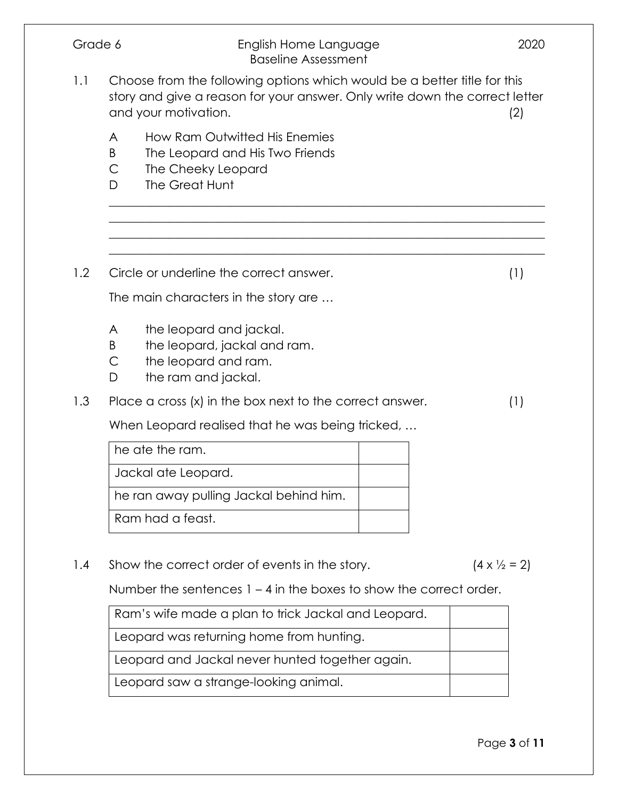| Grade 6<br>English Home Language<br><b>Baseline Assessment</b> |                                                                                                                                                                                 |  | 2020                         |
|----------------------------------------------------------------|---------------------------------------------------------------------------------------------------------------------------------------------------------------------------------|--|------------------------------|
| 1.1                                                            | Choose from the following options which would be a better title for this<br>story and give a reason for your answer. Only write down the correct letter<br>and your motivation. |  | (2)                          |
|                                                                | How Ram Outwitted His Enemies<br>A<br>B<br>The Leopard and His Two Friends<br>$\mathsf{C}$<br>The Cheeky Leopard<br>The Great Hunt<br>D                                         |  |                              |
|                                                                |                                                                                                                                                                                 |  |                              |
| 1.2                                                            | Circle or underline the correct answer.                                                                                                                                         |  | (1)                          |
|                                                                | The main characters in the story are                                                                                                                                            |  |                              |
|                                                                | the leopard and jackal.<br>A<br>B<br>the leopard, jackal and ram.<br>the leopard and ram.<br>C<br>the ram and jackal.<br>D                                                      |  |                              |
| 1.3                                                            | Place a cross (x) in the box next to the correct answer.                                                                                                                        |  | (1)                          |
|                                                                | When Leopard realised that he was being tricked,                                                                                                                                |  |                              |
|                                                                | he ate the ram.                                                                                                                                                                 |  |                              |
|                                                                | Jackal ate Leopard.                                                                                                                                                             |  |                              |
|                                                                | he ran away pulling Jackal behind him.                                                                                                                                          |  |                              |
|                                                                | Ram had a feast.                                                                                                                                                                |  |                              |
| 1.4                                                            | Show the correct order of events in the story.                                                                                                                                  |  | $(4 \times \frac{1}{2} = 2)$ |
|                                                                | Number the sentences $1 - 4$ in the boxes to show the correct order.                                                                                                            |  |                              |
|                                                                | Ram's wife made a plan to trick Jackal and Leopard.                                                                                                                             |  |                              |
|                                                                | Leopard was returning home from hunting.                                                                                                                                        |  |                              |
|                                                                | Leopard and Jackal never hunted together again.                                                                                                                                 |  |                              |
|                                                                | Leopard saw a strange-looking animal.                                                                                                                                           |  |                              |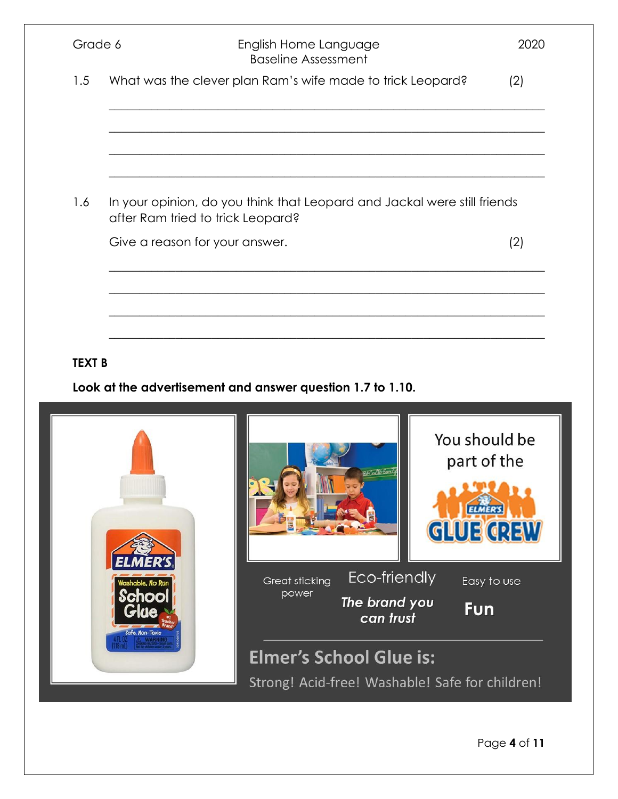| Grade 6<br>1.5<br>What was the clever plan Ram's wife made to trick Leopard?<br>1.6<br>In your opinion, do you think that Leopard and Jackal were still friends<br>after Ram tried to trick Leopard?<br>Give a reason for your answer.<br><b>TEXT B</b><br>Look at the advertisement and answer question 1.7 to 1.10.<br>ER'S |                                                     |                               |                                    |
|-------------------------------------------------------------------------------------------------------------------------------------------------------------------------------------------------------------------------------------------------------------------------------------------------------------------------------|-----------------------------------------------------|-------------------------------|------------------------------------|
|                                                                                                                                                                                                                                                                                                                               | English Home Language<br><b>Baseline Assessment</b> |                               | 2020                               |
|                                                                                                                                                                                                                                                                                                                               |                                                     |                               | (2)                                |
|                                                                                                                                                                                                                                                                                                                               |                                                     |                               |                                    |
|                                                                                                                                                                                                                                                                                                                               |                                                     |                               | (2)                                |
|                                                                                                                                                                                                                                                                                                                               |                                                     |                               |                                    |
|                                                                                                                                                                                                                                                                                                                               |                                                     |                               |                                    |
|                                                                                                                                                                                                                                                                                                                               |                                                     |                               |                                    |
|                                                                                                                                                                                                                                                                                                                               |                                                     |                               | You should be<br>part of the       |
|                                                                                                                                                                                                                                                                                                                               |                                                     | <b>Meditions</b>              | <b>ELMER'S</b><br><b>GLUE GREW</b> |
| .<br>Nashable, No Run<br>School<br>Glue                                                                                                                                                                                                                                                                                       | Great sticking<br>power                             | Eco-friendly<br>The brand you | Easy to use<br>Fun                 |

Safe, Non-Toxic

Elmer's School Glue is: Strong! Acid-free! Washable! Safe for children!

Page **4** of **11**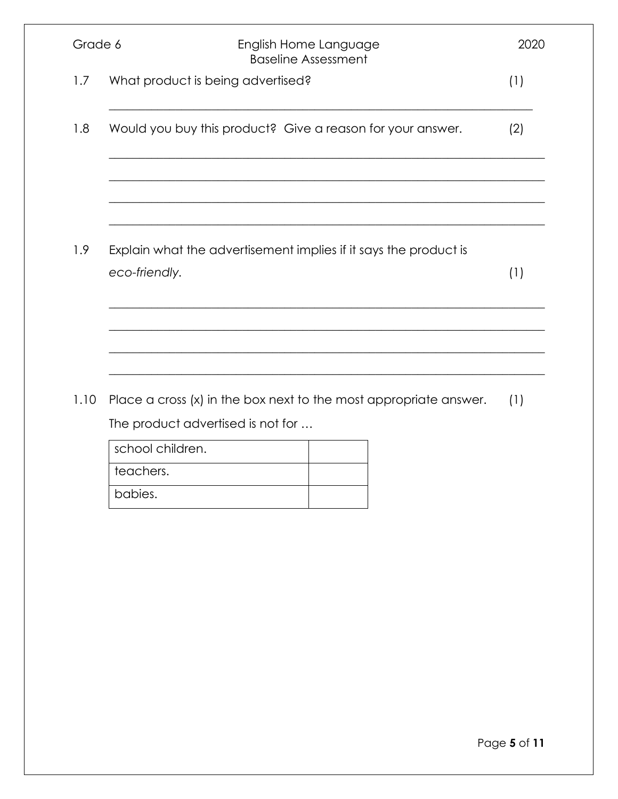| Grade 6 | English Home Language<br><b>Baseline Assessment</b>                               | 2020 |
|---------|-----------------------------------------------------------------------------------|------|
| 1.7     | What product is being advertised?                                                 | (1)  |
| 1.8     | Would you buy this product? Give a reason for your answer.                        | (2)  |
|         |                                                                                   |      |
| 1.9     | Explain what the advertisement implies if it says the product is<br>eco-friendly. | (1)  |
|         |                                                                                   |      |
| 1.10    | Place a cross (x) in the box next to the most appropriate answer.                 | (1)  |
|         | The product advertised is not for                                                 |      |
|         | school children.                                                                  |      |
|         | teachers.                                                                         |      |
|         | babies.                                                                           |      |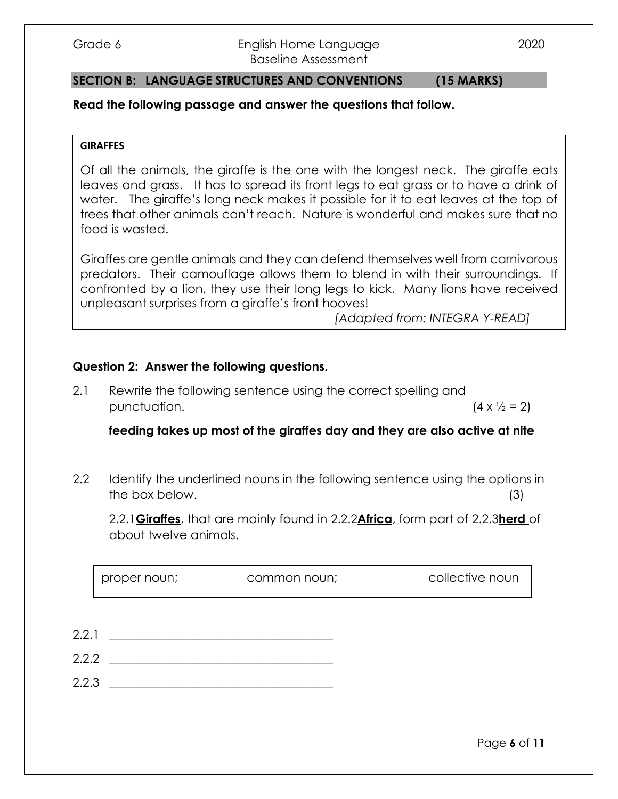#### Grade 6 **English Home Language** 2020 Baseline Assessment

#### **SECTION B: LANGUAGE STRUCTURES AND CONVENTIONS (15 MARKS)**

#### **Read the following passage and answer the questions that follow.**

#### **GIRAFFES**

Of all the animals, the giraffe is the one with the longest neck. The giraffe eats leaves and grass. It has to spread its front legs to eat grass or to have a drink of water. The giraffe's long neck makes it possible for it to eat leaves at the top of trees that other animals can't reach. Nature is wonderful and makes sure that no food is wasted.

Giraffes are gentle animals and they can defend themselves well from carnivorous predators. Their camouflage allows them to blend in with their surroundings. If confronted by a lion, they use their long legs to kick. Many lions have received unpleasant surprises from a giraffe's front hooves!

*[Adapted from: INTEGRA Y-READ]*

#### **Question 2: Answer the following questions.**

2.1 Rewrite the following sentence using the correct spelling and punctuation.  $(4 \times \frac{1}{2} = 2)$ 

**feeding takes up most of the giraffes day and they are also active at nite**

2.2 Identify the underlined nouns in the following sentence using the options in the box below. (3)

2.2.1**Giraffes**, that are mainly found in 2.2.2**Africa**, form part of 2.2.3**herd** of about twelve animals.

proper noun; common noun; collective noun

- $2.2.1$   $\qquad \qquad$
- $2.2.2$
- $2.2.3$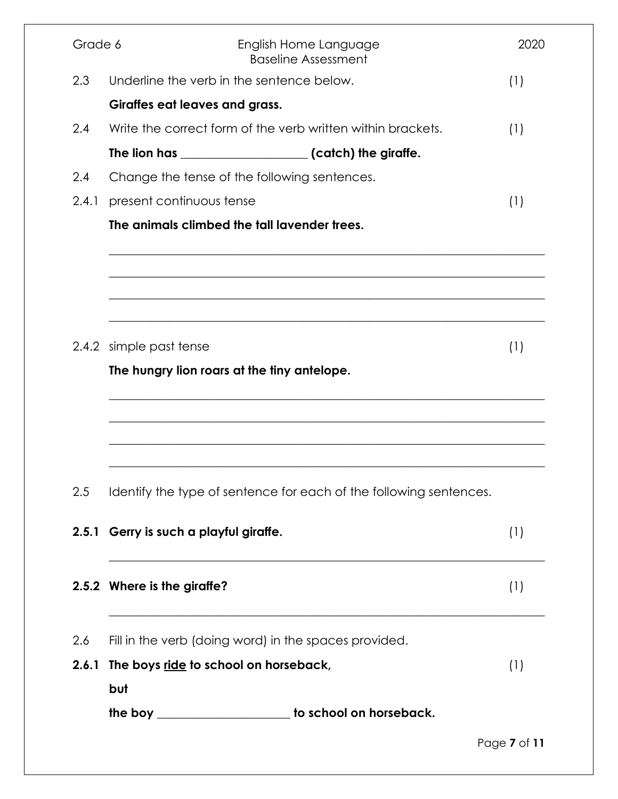| Grade 6 | English Home Language<br><b>Baseline Assessment</b>                    | 2020         |
|---------|------------------------------------------------------------------------|--------------|
| 2.3     | Underline the verb in the sentence below.                              | (1)          |
|         | Giraffes eat leaves and grass.                                         |              |
| 2.4     | Write the correct form of the verb written within brackets.            | (1)          |
|         |                                                                        |              |
| 2.4     | Change the tense of the following sentences.                           |              |
| 2.4.1   | present continuous tense                                               | (1)          |
|         | The animals climbed the tall lavender trees.                           |              |
|         | 2.4.2 simple past tense<br>The hungry lion roars at the tiny antelope. | (1)          |
|         |                                                                        |              |
| 2.5     | Identify the type of sentence for each of the following sentences.     |              |
|         | 2.5.1 Gerry is such a playful giraffe.                                 | (1)          |
|         | 2.5.2 Where is the giraffe?                                            | (1)          |
| 2.6     | Fill in the verb (doing word) in the spaces provided.                  |              |
| 2.6.1   | The boys ride to school on horseback,                                  | (1)          |
|         | but                                                                    |              |
|         | the boy _____________________ to school on horseback.                  |              |
|         |                                                                        | Page 7 of 11 |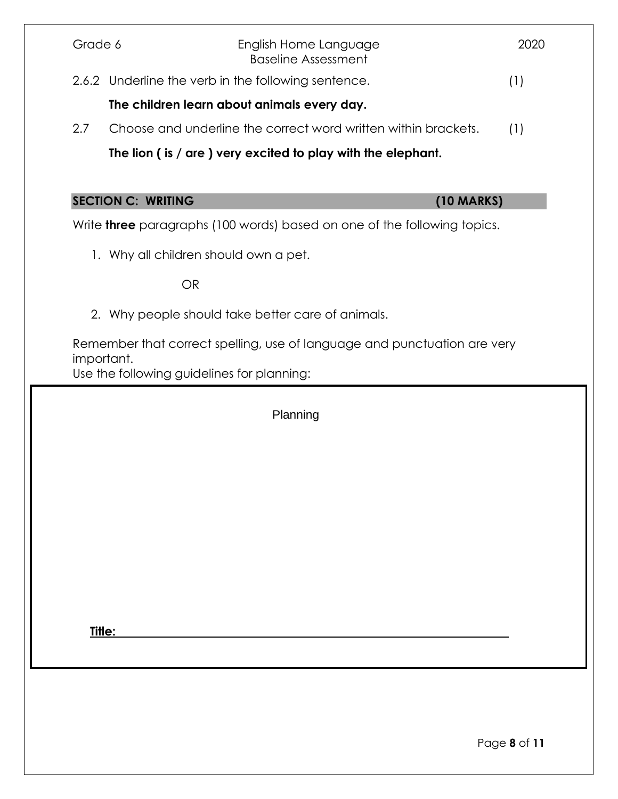| Grade 6    | English Home Language<br><b>Baseline Assessment</b>                             | 2020 |
|------------|---------------------------------------------------------------------------------|------|
|            | 2.6.2 Underline the verb in the following sentence.                             |      |
|            | The children learn about animals every day.                                     |      |
| 2.7        | Choose and underline the correct word written within brackets.                  | (1)  |
|            | The lion (is / are ) very excited to play with the elephant.                    |      |
|            |                                                                                 |      |
|            | <b>SECTION C: WRITING</b><br>$(10$ MARKS)                                       |      |
|            | Write <b>three</b> paragraphs (100 words) based on one of the following topics. |      |
|            | 1. Why all children should own a pet.                                           |      |
|            | <b>OR</b>                                                                       |      |
|            | 2. Why people should take better care of animals.                               |      |
|            | Remember that correct spelling, use of language and punctuation are very        |      |
| important. | Use the following guidelines for planning:                                      |      |
|            | Planning                                                                        |      |
|            |                                                                                 |      |
|            |                                                                                 |      |
|            |                                                                                 |      |

**Title:**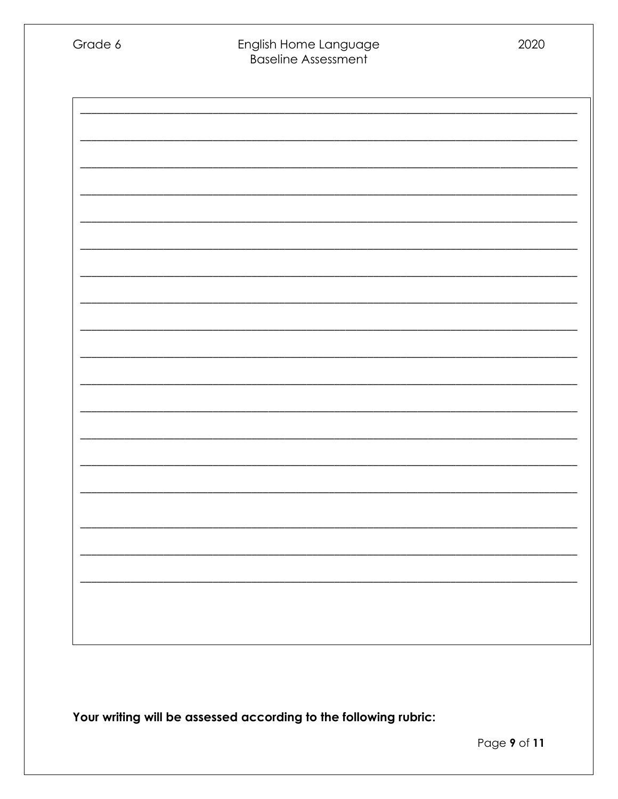| Grade 6 | English Home Language<br><b>Baseline Assessment</b> | 2020 |
|---------|-----------------------------------------------------|------|
|         |                                                     |      |
|         |                                                     |      |
|         |                                                     |      |
|         |                                                     |      |
|         |                                                     |      |
|         |                                                     |      |
|         |                                                     |      |
|         |                                                     |      |
|         |                                                     |      |
|         |                                                     |      |
|         |                                                     |      |

Your writing will be assessed according to the following rubric: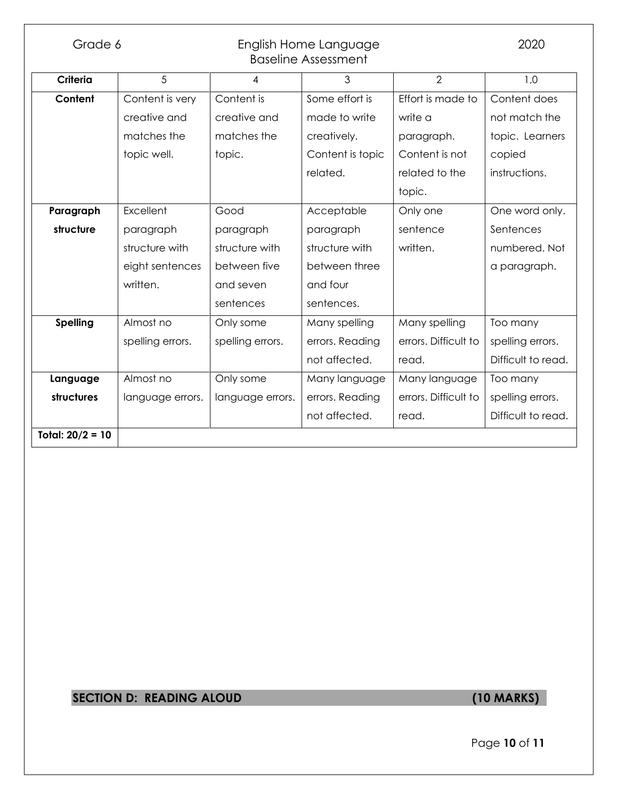| Grade 6<br>English Home Language<br><b>Baseline Assessment</b> |                  |                  |                  | 2020                 |                    |
|----------------------------------------------------------------|------------------|------------------|------------------|----------------------|--------------------|
| Criteria                                                       | 5                | 4                | 3                | $\overline{2}$       | 1,0                |
| Content                                                        | Content is very  | Content is       | Some effort is   | Effort is made to    | Content does       |
|                                                                | creative and     | creative and     | made to write    | write a              | not match the      |
|                                                                | matches the      | matches the      | creatively.      | paragraph.           | topic. Learners    |
|                                                                | topic well.      | topic.           | Content is topic | Content is not       | copied             |
|                                                                |                  |                  | related.         | related to the       | instructions.      |
|                                                                |                  |                  |                  | topic.               |                    |
| Paragraph                                                      | Excellent        | Good             | Acceptable       | Only one             | One word only.     |
| structure                                                      | paragraph        | paragraph        | paragraph        | sentence             | Sentences          |
|                                                                | structure with   | structure with   | structure with   | written.             | numbered. Not      |
|                                                                | eight sentences  | between five     | between three    |                      | a paragraph.       |
|                                                                | written.         | and seven        | and four         |                      |                    |
|                                                                |                  | sentences        | sentences.       |                      |                    |
| <b>Spelling</b>                                                | Almost no        | Only some        | Many spelling    | Many spelling        | Too many           |
|                                                                | spelling errors. | spelling errors. | errors. Reading  | errors. Difficult to | spelling errors.   |
|                                                                |                  |                  | not affected.    | read.                | Difficult to read. |
| Language                                                       | Almost no        | Only some        | Many language    | Many language        | Too many           |
| structures                                                     | language errors. | language errors. | errors. Reading  | errors. Difficult to | spelling errors.   |
|                                                                |                  |                  | not affected.    | read.                | Difficult to read. |
| Total: $20/2 = 10$                                             |                  |                  |                  |                      |                    |

# **SECTION D: READING ALOUD (10 MARKS)**

Page **10** of **11**